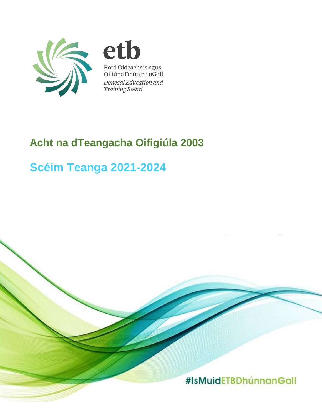

eth Bord Oideachais agus<br>Oiliúna Dhún na nGall Donegal Education and Training Board

# **Acht na dTeangacha Oifigiúla 2003**

# **Scéim Teanga 2021-2024**

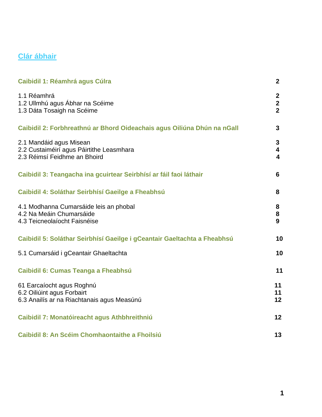# **Clár ábhair**

| <b>Caibidil 1: Réamhrá agus Cúlra</b>                                                                 | $\mathbf{2}$                                            |
|-------------------------------------------------------------------------------------------------------|---------------------------------------------------------|
| 1.1 Réamhrá<br>1.2 Ullmhú agus Ábhar na Scéime<br>1.3 Dáta Tosaigh na Scéime                          | $\mathbf{2}$<br>$\mathbf{2}$<br>$\overline{2}$          |
| Caibidil 2: Forbhreathnú ar Bhord Oideachais agus Oiliúna Dhún na nGall                               | 3                                                       |
| 2.1 Mandáid agus Misean<br>2.2 Custaiméirí agus Páirtithe Leasmhara<br>2.3 Réimsí Feidhme an Bhoird   | 3<br>$\overline{\mathbf{4}}$<br>$\overline{\mathbf{4}}$ |
| Caibidil 3: Teangacha ina gcuirtear Seirbhísí ar fáil faoi láthair                                    | 6                                                       |
| Caibidil 4: Soláthar Seirbhísí Gaeilge a Fheabhsú                                                     | 8                                                       |
| 4.1 Modhanna Cumarsáide leis an phobal<br>4.2 Na Meáin Chumarsáide<br>4.3 Teicneolaíocht Faisnéise    | 8<br>8<br>9                                             |
| Caibidil 5: Soláthar Seirbhísí Gaeilge i gCeantair Gaeltachta a Fheabhsú                              | 10                                                      |
| 5.1 Cumarsáid i gCeantair Ghaeltachta                                                                 | 10                                                      |
| Caibidil 6: Cumas Teanga a Fheabhsú                                                                   | 11                                                      |
| 61 Earcaíocht agus Roghnú<br>6.2 Oiliúint agus Forbairt<br>6.3 Anailís ar na Riachtanais agus Measúnú | 11<br>11<br>12                                          |
| Caibidil 7: Monatóireacht agus Athbhreithniú                                                          | 12                                                      |
| Caibidil 8: An Scéim Chomhaontaithe a Fhoilsiú                                                        | 13                                                      |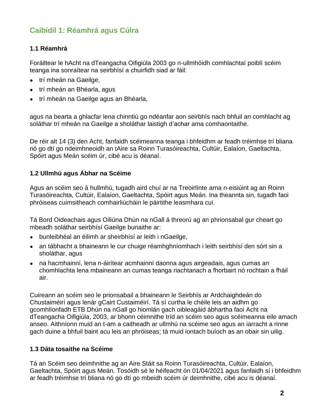# **Caibidil 1: Réamhrá agus Cúlra**

## **1.1 Réamhrá**

Foráiltear le hAcht na dTeangacha Oifigiúla 2003 go n-ullmhóidh comhlachtaí poiblí scéim teanga ina sonraítear na seirbhísí a chuirfidh siad ar fáil:

- trí mheán na Gaeilge,
- trí mheán an Bhéarla, agus
- trí mheán na Gaeilge agus an Bhéarla,

agus na bearta a ghlacfar lena chinntiú go ndéanfar aon seirbhís nach bhfuil an comhlacht ag soláthar trí mheán na Gaeilge a sholáthar laistigh d'achar ama comhaontaithe.

De réir alt 14 (3) den Acht, fanfaidh scéimeanna teanga i bhfeidhm ar feadh tréimhse trí bliana nó go dtí go ndeimhneoidh an tAire sa Roinn Turasóireachta, Cultúir, Ealaíon, Gaeltachta, Spóirt agus Meán scéim úr, cibé acu is déanaí.

## **1.2 Ullmhú agus Ábhar na Scéime**

Agus an scéim seo á hullmhú, tugadh aird chuí ar na Treoirlínte arna n-eisiúint ag an Roinn Turasóireachta, Cultúir, Ealaíon, Gaeltachta, Spóirt agus Meán. Ina theannta sin, tugadh faoi phróiseas cuimsitheach comhairliúcháin le páirtithe leasmhara cuí.

Tá Bord Oideachais agus Oiliúna Dhún na nGall á threorú ag an phrionsabal gur cheart go mbeadh soláthar seirbhísí Gaeilge bunaithe ar:

- bunleibhéal an éilimh ar sheirbhísí ar leith i nGaeilge,
- an tábhacht a bhaineann le cur chuige réamhghníomhach i leith seirbhísí den sórt sin a sholáthar, agus
- na hacmhainní, lena n-áirítear acmhainní daonna agus airgeadais, agus cumas an chomhlachta lena mbaineann an cumas teanga riachtanach a fhorbairt nó rochtain a fháil air.

Cuireann an scéim seo le prionsabail a bhaineann le Seirbhís ar Ardchaighdeán do Chustaiméirí agus lenár gCairt Custaiméirí. Tá sí curtha le chéile leis an aidhm go gcomhlíonfadh ETB Dhún na nGall go hiomlán gach oibleagáid ábhartha faoi Acht na dTeangacha Oifigiúla, 2003, ar bhonn céimnithe tríd an scéim seo agus scéimeanna eile amach anseo. Aithníonn muid an t-am a caitheadh ar ullmhú na scéime seo agus an iarracht a rinne gach duine a bhfuil baint acu leis an phróiseas; tá muid iontach buíoch as an obair sin uilig.

## **1.3 Dáta tosaithe na Scéime**

Tá an Scéim seo deimhnithe ag an Aire Stáit sa Roinn Turasóireachta, Cultúir, Ealaíon, Gaeltachta, Spóirt agus Meán. Tosóidh sé le héifeacht ón 01/04/2021 agus fanfaidh sí i bhfeidhm ar feadh tréimhse trí bliana nó go dtí go mbeidh scéim úr deimhnithe, cibé acu is déanaí.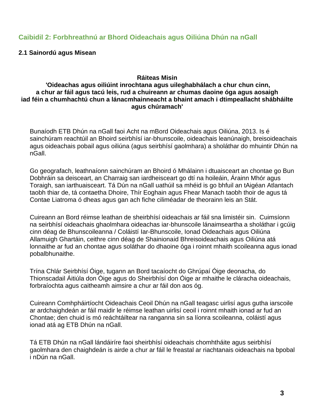## **Caibidil 2: Forbhreathnú ar Bhord Oideachais agus Oiliúna Dhún na nGall**

#### **2.1 Sainordú agus Misean**

#### **Ráiteas Misin**

#### **'Oideachas agus oiliúint inrochtana agus uileghabhálach a chur chun cinn, a chur ar fáil agus tacú leis, rud a chuireann ar chumas daoine óga agus aosaigh iad féin a chumhachtú chun a lánacmhainneacht a bhaint amach i dtimpeallacht shábháilte agus chúramach'**

Bunaíodh ETB Dhún na nGall faoi Acht na mBord Oideachais agus Oiliúna, 2013. Is é sainchúram reachtúil an Bhoird seirbhísí iar-bhunscoile, oideachais leanúnaigh, breisoideachais agus oideachais pobail agus oiliúna (agus seirbhísí gaolmhara) a sholáthar do mhuintir Dhún na nGall.

Go geografach, leathnaíonn sainchúram an Bhoird ó Mhálainn i dtuaisceart an chontae go Bun Dobhráin sa deisceart, an Charraig san iardheisceart go dtí na hoileáin, Árainn Mhór agus Toraigh, san iarthuaisceart. Tá Dún na nGall uathúil sa mhéid is go bhfuil an tAigéan Atlantach taobh thiar de, tá contaetha Dhoire, Thír Eoghain agus Fhear Manach taobh thoir de agus tá Contae Liatroma ó dheas agus gan ach fiche ciliméadar de theorainn leis an Stát.

Cuireann an Bord réimse leathan de sheirbhísí oideachais ar fáil sna limistéir sin. Cuimsíonn na seirbhísí oideachais ghaolmhara oideachas iar-bhunscoile lánaimseartha a sholáthar i gcúig cinn déag de Bhunscoileanna / Coláistí Iar-Bhunscoile, Ionad Oideachais agus Oiliúna Allamuigh Ghartáin, ceithre cinn déag de Shainionaid Bhreisoideachais agus Oiliúna atá lonnaithe ar fud an chontae agus soláthar do dhaoine óga i roinnt mhaith scoileanna agus ionad pobalbhunaithe.

Trína Chlár Seirbhísí Óige, tugann an Bord tacaíocht do Ghrúpaí Óige deonacha, do Thionscadail Áitiúla don Óige agus do Sheirbhísí don Óige ar mhaithe le cláracha oideachais, forbraíochta agus caitheamh aimsire a chur ar fáil don aos óg.

Cuireann Comhpháirtíocht Oideachais Ceoil Dhún na nGall teagasc uirlisí agus gutha iarscoile ar ardchaighdeán ar fáil maidir le réimse leathan uirlisí ceoil i roinnt mhaith ionad ar fud an Chontae; den chuid is mó reáchtáiltear na ranganna sin sa líonra scoileanna, coláistí agus ionad atá ag ETB Dhún na nGall.

Tá ETB Dhún na nGall lándáiríre faoi sheirbhísí oideachais chomhtháite agus seirbhísí gaolmhara den chaighdeán is airde a chur ar fáil le freastal ar riachtanais oideachais na bpobal i nDún na nGall.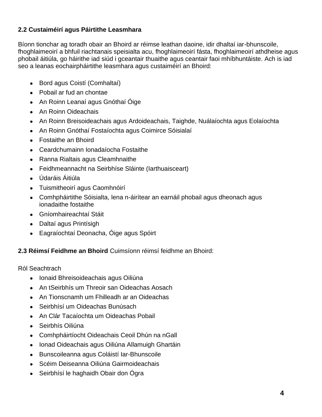## **2.2 Custaiméirí agus Páirtithe Leasmhara**

Bíonn tionchar ag toradh obair an Bhoird ar réimse leathan daoine, idir dhaltaí iar-bhunscoile, fhoghlaimeoirí a bhfuil riachtanais speisialta acu, fhoghlaimeoirí fásta, fhoghlaimeoirí athdheise agus phobail áitiúla, go háirithe iad siúd i gceantair thuaithe agus ceantair faoi mhíbhuntáiste. Ach is iad seo a leanas eochairpháirtithe leasmhara agus custaiméirí an Bhoird:

- Bord agus Coistí (Comhaltaí)
- Pobail ar fud an chontae
- An Roinn Leanaí agus Gnóthaí Óige
- An Roinn Oideachais
- An Roinn Breisoideachais agus Ardoideachais, Taighde, Nuálaíochta agus Eolaíochta
- An Roinn Gnóthaí Fostaíochta agus Coimirce Sóisialaí
- Fostaithe an Bhoird
- Ceardchumainn Ionadaíocha Fostaithe
- Ranna Rialtais agus Cleamhnaithe
- Feidhmeannacht na Seirbhíse Sláinte (Iarthuaisceart)
- Údaráis Áitiúla
- Tuismitheoirí agus Caomhnóirí
- Comhpháirtithe Sóisialta, lena n-áirítear an earnáil phobail agus dheonach agus ionadaithe fostaithe
- Gníomhaireachtaí Stáit
- Daltaí agus Printísigh
- Eagraíochtaí Deonacha, Óige agus Spóirt

## **2.3 Réimsí Feidhme an Bhoird** Cuimsíonn réimsí feidhme an Bhoird:

Ról Seachtrach

- Ionaid Bhreisoideachais agus Oiliúna
- An tSeirbhís um Threoir san Oideachas Aosach
- An Tionscnamh um Fhilleadh ar an Oideachas
- Seirbhísí um Oideachas Bunúsach
- An Clár Tacaíochta um Oideachas Pobail
- Seirbhís Oiliúna
- Comhpháirtíocht Oideachais Ceoil Dhún na nGall
- Ionad Oideachais agus Oiliúna Allamuigh Ghartáin
- Bunscoileanna agus Coláistí Iar-Bhunscoile
- Scéim Deiseanna Oiliúna Gairmoideachais
- Seirbhísí le haghaidh Obair don Ógra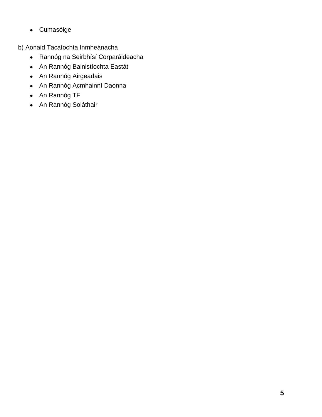● Cumasóige

b) Aonaid Tacaíochta Inmheánacha

- Rannóg na Seirbhísí Corparáideacha
- An Rannóg Bainistíochta Eastát
- An Rannóg Airgeadais
- An Rannóg Acmhainní Daonna
- An Rannóg TF
- An Rannóg Soláthair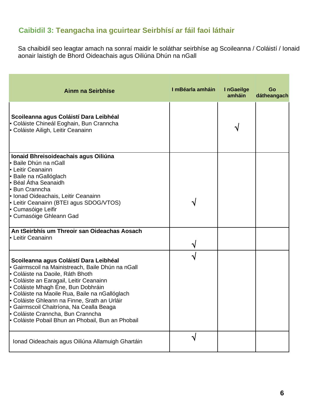# **Caibidil 3: Teangacha ina gcuirtear Seirbhísí ar fáil faoi láthair**

Sa chaibidil seo leagtar amach na sonraí maidir le soláthar seirbhíse ag Scoileanna / Coláistí / Ionaid aonair laistigh de Bhord Oideachais agus Oiliúna Dhún na nGall

| <b>Ainm na Seirbhíse</b>                                                                                                                                                                                                                                                                                                                                                                                                                                 | I mBéarla amháin | InGaeilge<br>amháin | Go<br>dátheangach |
|----------------------------------------------------------------------------------------------------------------------------------------------------------------------------------------------------------------------------------------------------------------------------------------------------------------------------------------------------------------------------------------------------------------------------------------------------------|------------------|---------------------|-------------------|
| Scoileanna agus Coláistí Dara Leibhéal<br>- Coláiste Chineál Eoghain, Bun Cranncha<br>• Coláiste Ailigh, Leitir Ceanainn                                                                                                                                                                                                                                                                                                                                 |                  |                     |                   |
| Ionaid Bhreisoideachais agus Oiliúna<br><b>-</b> Baile Dhún na nGall<br>- Leitir Ceanainn<br>- Baile na nGallóglach<br>- Béal Átha Seanaidh<br><b>Bun Cranncha</b><br>In Ionad Oideachais, Leitir Ceanainn<br>- Leitir Ceanainn (BTEI agus SDOG/VTOS)<br><b>- Cumasóige Leifir</b><br>- Cumasóige Ghleann Gad                                                                                                                                            |                  |                     |                   |
| An tSeirbhís um Threoir san Oideachas Aosach<br>• Leitir Ceanainn                                                                                                                                                                                                                                                                                                                                                                                        |                  |                     |                   |
| Scoileanna agus Coláistí Dara Leibhéal<br>- Gairmscoil na Mainistreach, Baile Dhún na nGall<br>- Coláiste na Daoile, Ráth Bhoth<br>- Coláiste an Earagail, Leitir Ceanainn<br>- Coláiste Mhagh Éne, Bun Dobhráin<br>- Coláiste na Maoile Rua, Baile na nGallóglach<br>- Coláiste Ghleann na Finne, Srath an Urláir<br>- Gairmscoil Chaitríona, Na Cealla Beaga<br>- Coláiste Cranncha, Bun Cranncha<br>- Coláiste Pobail Bhun an Phobail, Bun an Phobail |                  |                     |                   |
| Ionad Oideachais agus Oiliúna Allamuigh Ghartáin                                                                                                                                                                                                                                                                                                                                                                                                         | √                |                     |                   |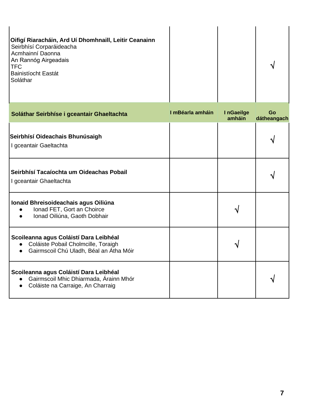| Oifigí Riaracháin, Ard Uí Dhomhnaill, Leitir Ceanainn<br>Seirbhísí Corparáideacha<br>Acmhainní Daonna<br>An Rannóg Airgeadais<br><b>TFC</b><br><b>Bainistíocht Eastát</b><br>Soláthar |  |  |  |
|---------------------------------------------------------------------------------------------------------------------------------------------------------------------------------------|--|--|--|
|---------------------------------------------------------------------------------------------------------------------------------------------------------------------------------------|--|--|--|

| Soláthar Seirbhíse i gceantair Ghaeltachta                                                                                                      | I mBéarla amháin | InGaeilge<br>amháin | Go<br>dátheangach |
|-------------------------------------------------------------------------------------------------------------------------------------------------|------------------|---------------------|-------------------|
| Seirbhísí Oideachais Bhunúsaigh<br>I gceantair Gaeltachta                                                                                       |                  |                     |                   |
| Seirbhísí Tacaíochta um Oideachas Pobail<br>I gceantair Ghaeltachta                                                                             |                  |                     |                   |
| Ionaid Bhreisoideachais agus Oiliúna<br>Ionad FET, Gort an Choirce<br>Ionad Oiliúna, Gaoth Dobhair                                              |                  |                     |                   |
| Scoileanna agus Coláistí Dara Leibhéal<br>Coláiste Pobail Cholmcille, Toraigh<br>Gairmscoil Chú Uladh, Béal an Átha Móir<br>$\bullet$           |                  |                     |                   |
| Scoileanna agus Coláistí Dara Leibhéal<br>Gairmscoil Mhic Dhiarmada, Árainn Mhór<br>$\bullet$<br>Coláiste na Carraige, An Charraig<br>$\bullet$ |                  |                     |                   |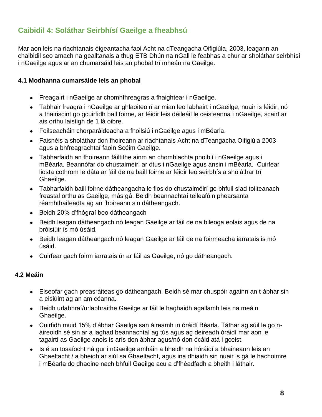# **Caibidil 4: Soláthar Seirbhísí Gaeilge a fheabhsú**

Mar aon leis na riachtanais éigeantacha faoi Acht na dTeangacha Oifigiúla, 2003, leagann an chaibidil seo amach na gealltanais a thug ETB Dhún na nGall le feabhas a chur ar sholáthar seirbhísí i nGaeilge agus ar an chumarsáid leis an phobal trí mheán na Gaeilge.

#### **4.1 Modhanna cumarsáide leis an phobal**

- Freagairt i nGaeilge ar chomhfhreagras a fhaightear i nGaeilge.
- Tabhair freagra i nGaeilge ar ghlaoiteoirí ar mian leo labhairt i nGaeilge, nuair is féidir, nó a thairiscint go gcuirfidh ball foirne, ar féidir leis déileáil le ceisteanna i nGaeilge, scairt ar ais orthu laistigh de 1 lá oibre.
- Foilseacháin chorparáideacha a fhoilsiú i nGaeilge agus i mBéarla.
- Faisnéis a sholáthar don fhoireann ar riachtanais Acht na dTeangacha Oifigiúla 2003 agus a bhfreagrachtaí faoin Scéim Gaeilge.
- Tabharfaidh an fhoireann fáiltithe ainm an chomhlachta phoiblí i nGaeilge agus i mBéarla. Beannófar do chustaiméirí ar dtús i nGaeilge agus ansin i mBéarla. Cuirfear liosta cothrom le dáta ar fáil de na baill foirne ar féidir leo seirbhís a sholáthar trí Ghaeilge.
- Tabharfaidh baill foirne dátheangacha le fios do chustaiméirí go bhfuil siad toilteanach freastal orthu as Gaeilge, más gá. Beidh beannachtaí teileafóin phearsanta réamhthaifeadta ag an fhoireann sin dátheangach.
- Beidh 20% d'fhógraí beo dátheangach
- Beidh leagan dátheangach nó leagan Gaeilge ar fáil de na bileoga eolais agus de na bróisiúir is mó úsáid.
- Beidh leagan dátheangach nó leagan Gaeilge ar fáil de na foirmeacha iarratais is mó úsáid.
- Cuirfear gach foirm iarratais úr ar fáil as Gaeilge, nó go dátheangach.

## **4.2 Meáin**

- Eiseofar gach preasráiteas go dátheangach. Beidh sé mar chuspóir againn an t-ábhar sin a eisiúint ag an am céanna.
- Beidh urlabhraí/urlabhraithe Gaeilge ar fáil le haghaidh agallamh leis na meáin Ghaeilge.
- Cuirfidh muid 15% d'ábhar Gaeilge san áireamh in óráidí Béarla. Táthar ag súil le go náireoidh sé sin ar a laghad beannachtaí ag tús agus ag deireadh óráidí mar aon le tagairtí as Gaeilge anois is arís don ábhar agus/nó don ócáid atá i gceist.
- Is é an tosaíocht ná gur i nGaeilge amháin a bheidh na hóráidí a bhaineann leis an Ghaeltacht / a bheidh ar siúl sa Ghaeltacht, agus ina dhiaidh sin nuair is gá le hachoimre i mBéarla do dhaoine nach bhfuil Gaeilge acu a d'fhéadfadh a bheith i láthair.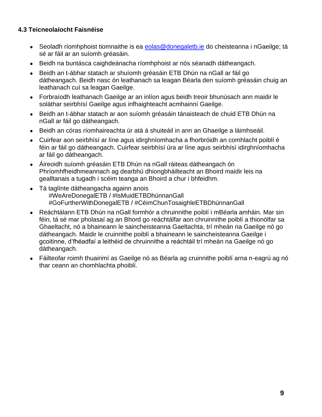## **4.3 Teicneolaíocht Faisnéise**

- [Seoladh ríomhphoist tiomnaithe is ea eolas@donegaletb.ie](mailto:Seoladh%20ríomhphoist%20tiomnaithe%20is%20ea%20eolas@donegaletb.ie) do cheisteanna i nGaeilge; tá sé ar fáil ar an suíomh gréasáin.
- Beidh na buntásca caighdeánacha ríomhphoist ar nós séanadh dátheangach.
- Beidh an t-ábhar statach ar shuíomh gréasáin ETB Dhún na nGall ar fáil go dátheangach. Beidh nasc ón leathanach sa leagan Béarla den suíomh gréasáin chuig an leathanach cuí sa leagan Gaeilge.
- Forbraíodh leathanach Gaeilge ar an inlíon agus beidh treoir bhunúsach ann maidir le soláthar seirbhísí Gaeilge agus infhaighteacht acmhainní Gaeilge.
- Beidh an t-ábhar statach ar aon suíomh gréasáin tánaisteach de chuid ETB Dhún na nGall ar fáil go dátheangach.
- Beidh an córas ríomhaireachta úr atá á shuiteáil in ann an Ghaeilge a láimhseáil.
- Cuirfear aon seirbhísí ar líne agus idirghníomhacha a fhorbróidh an comhlacht poiblí é féin ar fáil go dátheangach. Cuirfear seirbhísí úra ar líne agus seirbhísí idirghníomhacha ar fáil go dátheangach.
- Áireoidh suíomh gréasáin ETB Dhún na nGall ráiteas dátheangach ón Phríomhfheidhmeannach ag dearbhú dhiongbháilteacht an Bhoird maidir leis na gealltanais a tugadh i scéim teanga an Bhoird a chur i bhfeidhm.
- Tá taglínte dátheangacha againn anois #WeAreDonegalETB / #IsMuidETBDhúnnanGall #GoFurtherWithDonegalETB / #CéimChunTosaighleETBDhúnnanGall
- Reáchtálann ETB Dhún na nGall formhór a chruinnithe poiblí i mBéarla amháin. Mar sin féin, tá sé mar pholasaí ag an Bhord go reáchtálfar aon chruinnithe poiblí a thionólfar sa Ghaeltacht, nó a bhaineann le saincheisteanna Gaeltachta, trí mheán na Gaeilge nó go dátheangach. Maidir le cruinnithe poiblí a bhaineann le saincheisteanna Gaeilge i gcoitinne, d'fhéadfaí a leithéid de chruinnithe a reáchtáil trí mheán na Gaeilge nó go dátheangach.
- Fáilteofar roimh thuairimí as Gaeilge nó as Béarla ag cruinnithe poiblí arna n-eagrú ag nó thar ceann an chomhlachta phoiblí.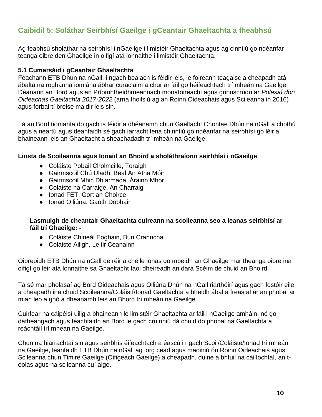# **Caibidil 5: Soláthar Seirbhísí Gaeilge i gCeantair Ghaeltachta a fheabhsú**

Ag feabhsú sholáthar na seirbhísí i nGaeilge i limistéir Ghaeltachta agus ag cinntiú go ndéanfar teanga oibre den Ghaeilge in oifigí atá lonnaithe i limistéir Ghaeltachta.

#### **5.1 Cumarsáid i gCeantair Ghaeltachta**

Féachann ETB Dhún na nGall, i ngach bealach is féidir leis, le foireann teagaisc a cheapadh atá ábalta na roghanna iomlána ábhar curaclaim a chur ar fáil go héifeachtach trí mheán na Gaeilge. Déanann an Bord agus an Príomhfheidhmeannach monatóireacht agus grinnscrúdú ar *Polasaí don Oideachas Gaeltachta 2017-2022* (arna fhoilsiú ag an Roinn Oideachais agus Scileanna in 2016) agus forbairtí breise maidir leis sin.

Tá an Bord tiomanta do gach is féidir a dhéanamh chun Gaeltacht Chontae Dhún na nGall a chothú agus a neartú agus déanfaidh sé gach iarracht lena chinntiú go ndéanfar na seirbhísí go léir a bhaineann leis an Ghaeltacht a sheachadadh trí mheán na Gaeilge.

#### **Liosta de Scoileanna agus Ionaid an Bhoird a sholáthraíonn seirbhísí i nGaeilge**

- Coláiste Pobail Cholmcille, Toraigh
- Gairmscoil Chú Uladh, Béal An Átha Móir
- Gairmscoil Mhic Dhiarmada, Árainn Mhór
- Coláiste na Carraige, An Charraig
- Ionad FET, Gort an Choirce
- Ionad Oiliúna, Gaoth Dobhair

#### **Lasmuigh de cheantair Ghaeltachta cuireann na scoileanna seo a leanas seirbhísí ar fáil trí Ghaeilge: -**

- Coláiste Chineál Eoghain, Bun Cranncha
- Coláiste Ailigh, Leitir Ceanainn

Oibreoidh ETB Dhún na nGall de réir a chéile ionas go mbeidh an Ghaeilge mar theanga oibre ina oifigí go léir atá lonnaithe sa Ghaeltacht faoi dheireadh an dara Scéim de chuid an Bhoird.

Tá sé mar pholasaí ag Bord Oideachais agus Oiliúna Dhún na nGall riarthóirí agus gach fostóir eile a cheapadh ina chuid Scoileanna/Coláistí/Ionad Gaeltachta a bheidh ábalta freastal ar an phobal ar mian leo a gnó a dhéanamh leis an Bhord trí mheán na Gaeilge.

Cuirfear na cáipéisí uilig a bhaineann le limistéir Ghaeltachta ar fáil i nGaeilge amháin, nó go dátheangach agus féachfaidh an Bord le gach cruinniú dá chuid do phobal na Gaeltachta a reáchtáil trí mheán na Gaeilge.

Chun na hiarrachtaí sin agus seirbhís éifeachtach a éascú i ngach Scoil/Coláiste/Ionad trí mheán na Gaeilge, leanfaidh ETB Dhún na nGall ag lorg cead agus maoiniú ón Roinn Oideachais agus Scileanna chun Timire Gaeilge (Oifigeach Gaeilge) a cheapadh, duine a bhfuil na cáilíochtaí, an teolas agus na scileanna cuí aige.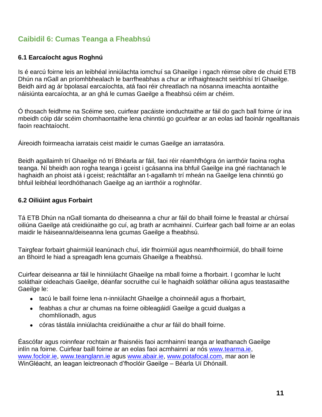## **Caibidil 6: Cumas Teanga a Fheabhsú**

#### **6.1 Earcaíocht agus Roghnú**

Is é earcú foirne leis an leibhéal inniúlachta iomchuí sa Ghaeilge i ngach réimse oibre de chuid ETB Dhún na nGall an príomhbhealach le barrfheabhas a chur ar infhaighteacht seirbhísí trí Ghaeilge. Beidh aird ag ár bpolasaí earcaíochta, atá faoi réir chreatlach na nósanna imeachta aontaithe náisiúnta earcaíochta, ar an ghá le cumas Gaeilge a fheabhsú céim ar chéim.

Ó thosach feidhme na Scéime seo, cuirfear pacáiste ionduchtaithe ar fáil do gach ball foirne úr ina mbeidh cóip dár scéim chomhaontaithe lena chinntiú go gcuirfear ar an eolas iad faoinár ngealltanais faoin reachtaíocht.

Áireoidh foirmeacha iarratais ceist maidir le cumas Gaeilge an iarratasóra.

Beidh agallaimh trí Ghaeilge nó trí Bhéarla ar fáil, faoi réir réamhfhógra ón iarrthóir faoina rogha teanga. Ní bheidh aon rogha teanga i gceist i gcásanna ina bhfuil Gaeilge ina gné riachtanach le haghaidh an phoist atá i gceist; reáchtálfar an t-agallamh trí mheán na Gaeilge lena chinntiú go bhfuil leibhéal leordhóthanach Gaeilge ag an iarrthóir a roghnófar.

#### **6.2 Oiliúint agus Forbairt**

Tá ETB Dhún na nGall tiomanta do dheiseanna a chur ar fáil do bhaill foirne le freastal ar chúrsaí oiliúna Gaeilge atá creidiúnaithe go cuí, ag brath ar acmhainní. Cuirfear gach ball foirne ar an eolas maidir le háiseanna/deiseanna lena gcumas Gaeilge a fheabhsú.

Tairgfear forbairt ghairmiúil leanúnach chuí, idir fhoirmiúil agus neamhfhoirmiúil, do bhaill foirne an Bhoird le hiad a spreagadh lena gcumais Ghaeilge a fheabhsú.

Cuirfear deiseanna ar fáil le hinniúlacht Ghaeilge na mball foirne a fhorbairt. I gcomhar le lucht soláthair oideachais Gaeilge, déanfar socruithe cuí le haghaidh soláthar oiliúna agus teastasaithe Gaeilge le:

- tacú le baill foirne lena n-inniúlacht Ghaeilge a choinneáil agus a fhorbairt,
- feabhas a chur ar chumas na foirne oibleagáidí Gaeilge a gcuid dualgas a chomhlíonadh, agus
- córas tástála inniúlachta creidiúnaithe a chur ar fáil do bhaill foirne.

Éascófar agus roinnfear rochtain ar fhaisnéis faoi acmhainní teanga ar leathanach Gaeilge inlín na foirne. Cuirfear baill foirne ar an eolas faoi acmhainní ar nós [www.tearma.ie,](http://www.tearma.ie/) [www.focloir.ie,](http://www.focloir.ie/) [www.teanglann.ie](http://www.teanglann.ie/) agus [www.abair.ie,](http://www.abair.ie/) [www.potafocal.com,](http://www.potafocal.com/) mar aon le WinGléacht, an leagan leictreonach d'fhoclóir Gaeilge – Béarla Uí Dhónaill.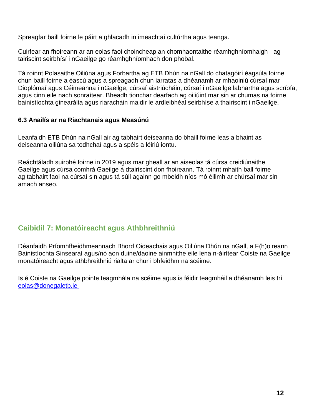Spreagfar baill foirne le páirt a ghlacadh in imeachtaí cultúrtha agus teanga.

Cuirfear an fhoireann ar an eolas faoi choincheap an chomhaontaithe réamhghníomhaigh - ag tairiscint seirbhísí i nGaeilge go réamhghníomhach don phobal.

Tá roinnt Polasaithe Oiliúna agus Forbartha ag ETB Dhún na nGall do chatagóirí éagsúla foirne chun baill foirne a éascú agus a spreagadh chun iarratas a dhéanamh ar mhaoiniú cúrsaí mar Dioplómaí agus Céimeanna i nGaeilge, cúrsaí aistriúcháin, cúrsaí i nGaeilge labhartha agus scríofa, agus cinn eile nach sonraítear. Bheadh tionchar dearfach ag oiliúint mar sin ar chumas na foirne bainistíochta ginearálta agus riaracháin maidir le ardleibhéal seirbhíse a thairiscint i nGaeilge.

#### **6.3 Anailís ar na Riachtanais agus Measúnú**

Leanfaidh ETB Dhún na nGall air ag tabhairt deiseanna do bhaill foirne leas a bhaint as deiseanna oiliúna sa todhchaí agus a spéis a léiriú iontu.

Reáchtáladh suirbhé foirne in 2019 agus mar gheall ar an aiseolas tá cúrsa creidiúnaithe Gaeilge agus cúrsa comhrá Gaeilge á dtairiscint don fhoireann. Tá roinnt mhaith ball foirne ag tabhairt faoi na cúrsaí sin agus tá súil againn go mbeidh níos mó éilimh ar chúrsaí mar sin amach anseo.

## **Caibidil 7: Monatóireacht agus Athbhreithniú**

Déanfaidh Príomhfheidhmeannach Bhord Oideachais agus Oiliúna Dhún na nGall, a F(h)oireann Bainistíochta Sinsearaí agus/nó aon duine/daoine ainmnithe eile lena n-áirítear Coiste na Gaeilge monatóireacht agus athbhreithniú rialta ar chur i bhfeidhm na scéime.

Is é Coiste na Gaeilge pointe teagmhála na scéime agus is féidir teagmháil a dhéanamh leis trí [eolas@donegaletb.ie](mailto:%20eolas@donegaletb.ie)